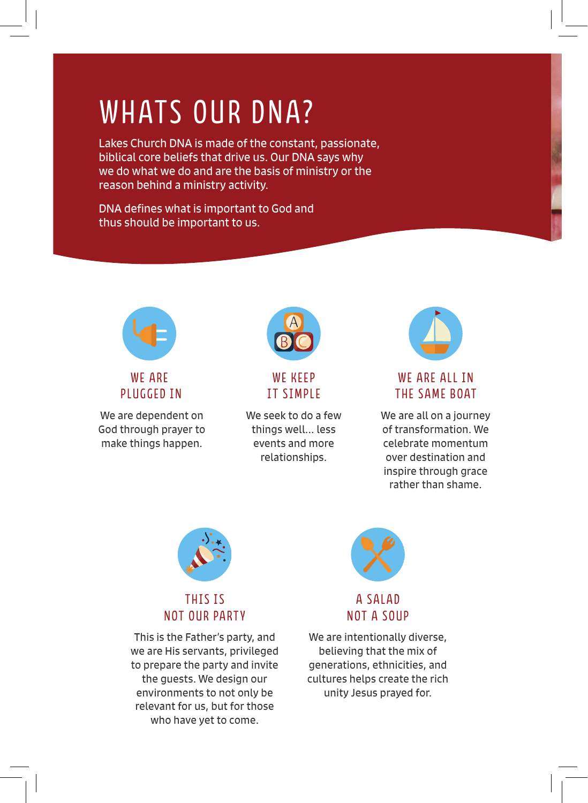# WHATS OUR DNA?

Lakes Church DNA is made of the constant, passionate, biblical core beliefs that drive us. Our DNA says why we do what we do and are the basis of ministry or the reason behind a ministry activity.

DNA defines what is important to God and thus should be important to us.



WE ARE PLUGGED IN

We are dependent on God through prayer to make things happen.



# WE KEEP IT SIMPLE

We seek to do a few things well... less events and more relationships.



# WE ARE ALL IN THE SAME BOAT

We are all on a journey of transformation. We celebrate momentum over destination and inspire through grace rather than shame.



## THIS IS NOT OUR PARTY

This is the Father's party, and we are His servants, privileged to prepare the party and invite the guests. We design our environments to not only be relevant for us, but for those who have yet to come.



#### A SALAD NOT A SOUP

We are intentionally diverse, believing that the mix of generations, ethnicities, and cultures helps create the rich unity Jesus prayed for.